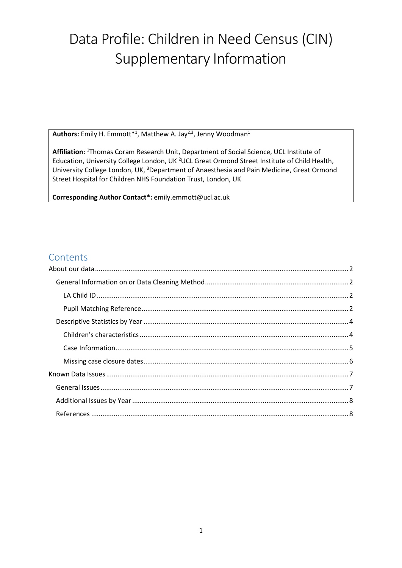# Data Profile: Children in Need Census (CIN) Supplementary Information

Authors: Emily H. Emmott<sup>\*1</sup>, Matthew A. Jay<sup>2,3</sup>, Jenny Woodman<sup>1</sup>

**Affiliation:** <sup>1</sup>Thomas Coram Research Unit, Department of Social Science, UCL Institute of Education, University College London, UK<sup>2</sup>UCL Great Ormond Street Institute of Child Health, University College London, UK, <sup>3</sup>Department of Anaesthesia and Pain Medicine, Great Ormond Street Hospital for Children NHS Foundation Trust, London, UK

**Corresponding Author Contact\*:** emily.emmott@ucl.ac.uk

# **Contents**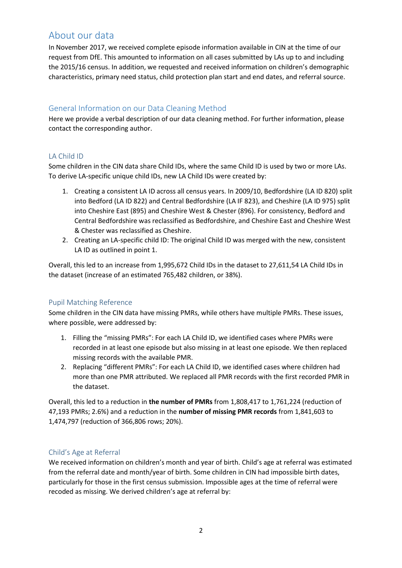# <span id="page-1-0"></span>About our data

In November 2017, we received complete episode information available in CIN at the time of our request from DfE. This amounted to information on all cases submitted by LAs up to and including the 2015/16 census. In addition, we requested and received information on children's demographic characteristics, primary need status, child protection plan start and end dates, and referral source.

# <span id="page-1-1"></span>General Information on our Data Cleaning Method

Here we provide a verbal description of our data cleaning method. For further information, please contact the corresponding author.

# <span id="page-1-2"></span>LA Child ID

Some children in the CIN data share Child IDs, where the same Child ID is used by two or more LAs. To derive LA-specific unique child IDs, new LA Child IDs were created by:

- 1. Creating a consistent LA ID across all census years. In 2009/10, Bedfordshire (LA ID 820) split into Bedford (LA ID 822) and Central Bedfordshire (LA IF 823), and Cheshire (LA ID 975) split into Cheshire East (895) and Cheshire West & Chester (896). For consistency, Bedford and Central Bedfordshire was reclassified as Bedfordshire, and Cheshire East and Cheshire West & Chester was reclassified as Cheshire.
- 2. Creating an LA-specific child ID: The original Child ID was merged with the new, consistent LA ID as outlined in point 1.

Overall, this led to an increase from 1,995,672 Child IDs in the dataset to 27,611,54 LA Child IDs in the dataset (increase of an estimated 765,482 children, or 38%).

## <span id="page-1-3"></span>Pupil Matching Reference

Some children in the CIN data have missing PMRs, while others have multiple PMRs. These issues, where possible, were addressed by:

- 1. Filling the "missing PMRs": For each LA Child ID, we identified cases where PMRs were recorded in at least one episode but also missing in at least one episode. We then replaced missing records with the available PMR.
- 2. Replacing "different PMRs": For each LA Child ID, we identified cases where children had more than one PMR attributed. We replaced all PMR records with the first recorded PMR in the dataset.

Overall, this led to a reduction in **the number of PMRs** from 1,808,417 to 1,761,224 (reduction of 47,193 PMRs; 2.6%) and a reduction in the **number of missing PMR records** from 1,841,603 to 1,474,797 (reduction of 366,806 rows; 20%).

## Child's Age at Referral

We received information on children's month and year of birth. Child's age at referral was estimated from the referral date and month/year of birth. Some children in CIN had impossible birth dates, particularly for those in the first census submission. Impossible ages at the time of referral were recoded as missing. We derived children's age at referral by: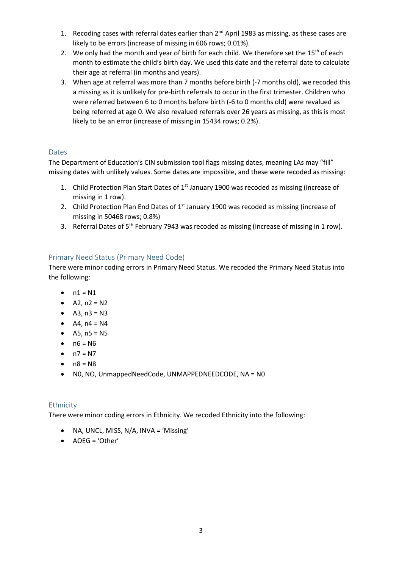- 1. Recoding cases with referral dates earlier than  $2<sup>nd</sup>$  April 1983 as missing, as these cases are likely to be errors (increase of missing in 606 rows; 0.01%).
- 2. We only had the month and year of birth for each child. We therefore set the  $15<sup>th</sup>$  of each month to estimate the child's birth day. We used this date and the referral date to calculate their age at referral (in months and years).
- 3. When age at referral was more than 7 months before birth (-7 months old), we recoded this a missing as it is unlikely for pre-birth referrals to occur in the first trimester. Children who were referred between 6 to 0 months before birth (-6 to 0 months old) were revalued as being referred at age 0. We also revalued referrals over 26 years as missing, as this is most likely to be an error (increase of missing in 15434 rows; 0.2%).

# Dates

The Department of Education's CIN submission tool flags missing dates, meaning LAs may "fill" missing dates with unlikely values. Some dates are impossible, and these were recoded as missing:

- 1. Child Protection Plan Start Dates of  $1<sup>st</sup>$  January 1900 was recoded as missing (increase of missing in 1 row).
- 2. Child Protection Plan End Dates of  $1<sup>st</sup>$  January 1900 was recoded as missing (increase of missing in 50468 rows; 0.8%)
- 3. Referral Dates of 5<sup>th</sup> February 7943 was recoded as missing (increase of missing in 1 row).

# Primary Need Status (Primary Need Code)

There were minor coding errors in Primary Need Status. We recoded the Primary Need Status into the following:

- $\bullet$   $n1 = N1$
- $A2, n2 = N2$
- $A3, n3 = N3$
- $A4, n4 = N4$
- $A5, n5 = N5$
- $n6 = N6$
- $n7 = N7$
- $\bullet$  n8 = N8
- N0, NO, UnmappedNeedCode, UNMAPPEDNEEDCODE, NA = N0

## Ethnicity

There were minor coding errors in Ethnicity. We recoded Ethnicity into the following:

- NA, UNCL, MISS, N/A, INVA = 'Missing'
- AOEG = 'Other'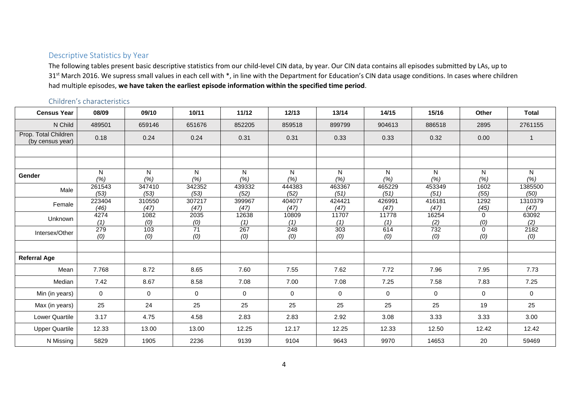## Descriptive Statistics by Year

The following tables present basic descriptive statistics from our child-level CIN data, by year. Our CIN data contains all episodes submitted by LAs, up to 31<sup>st</sup> March 2016. We supress small values in each cell with \*, in line with the Department for Education's CIN data usage conditions. In cases where children had multiple episodes, **we have taken the earliest episode information within the specified time period**.

# Children's characteristics

<span id="page-3-1"></span><span id="page-3-0"></span>

| <b>Census Year</b>                       | 08/09          | 09/10          | 10/11                  | 11/12          | 12/13                   | 13/14          | 14/15          | 15/16          | Other                  | <b>Total</b>    |
|------------------------------------------|----------------|----------------|------------------------|----------------|-------------------------|----------------|----------------|----------------|------------------------|-----------------|
| N Child                                  | 489501         | 659146         | 651676                 | 852205         | 859518                  | 899799         | 904613         | 886518         | 2895                   | 2761155         |
| Prop. Total Children<br>(by census year) | 0.18           | 0.24           | 0.24                   | 0.31           | 0.31                    | 0.33           | 0.33           | 0.32           | 0.00                   | $\overline{1}$  |
|                                          |                |                |                        |                |                         |                |                |                |                        |                 |
|                                          |                |                |                        |                |                         |                |                |                |                        |                 |
| <b>Gender</b>                            | N<br>(%)       | N<br>(% )      | N.<br>(%)              | N.<br>(%)      | $\mathsf{N}$<br>(% )    | N<br>(%)       | N<br>(% )      | N<br>(% )      | N <sub>1</sub><br>(% ) | N<br>(% )       |
| Male                                     | 261543<br>(53) | 347410<br>(53) | 342352<br>(53)         | 439332<br>(52) | 444383<br>(52)          | 463367<br>(51) | 465229<br>(51) | 453349<br>(51) | 1602<br>(55)           | 1385500<br>(50) |
| Female                                   | 223404<br>(46) | 310550<br>(47) | 307217<br>(47)         | 399967<br>(47) | 404077<br>(47)          | 424421<br>(47) | 426991<br>(47) | 416181<br>(47) | 1292<br>(45)           | 1310379<br>(47) |
| Unknown                                  | 4274<br>(1)    | 1082<br>(0)    | 2035<br>(0)            | 12638<br>(1)   | 10809<br>(1)            | 11707<br>(1)   | 11778<br>(1)   | 16254<br>(2)   | $\mathbf 0$<br>(0)     | 63092<br>(2)    |
| Intersex/Other                           | 279<br>(0)     | 103<br>(0)     | $\overline{71}$<br>(0) | 267<br>(0)     | $\overline{248}$<br>(0) | 303<br>(0)     | 614<br>(0)     | 732<br>(0)     | $\Omega$<br>(0)        | 2182<br>(0)     |
|                                          |                |                |                        |                |                         |                |                |                |                        |                 |
| <b>Referral Age</b>                      |                |                |                        |                |                         |                |                |                |                        |                 |
| Mean                                     | 7.768          | 8.72           | 8.65                   | 7.60           | 7.55                    | 7.62           | 7.72           | 7.96           | 7.95                   | 7.73            |
| Median                                   | 7.42           | 8.67           | 8.58                   | 7.08           | 7.00                    | 7.08           | 7.25           | 7.58           | 7.83                   | 7.25            |
| Min (in years)                           | $\Omega$       | $\mathbf 0$    | $\mathbf 0$            | $\Omega$       | $\mathbf 0$             | $\mathbf{0}$   | $\mathbf 0$    | 0              | $\mathbf 0$            | $\mathbf 0$     |
| Max (in years)                           | 25             | 24             | 25                     | 25             | 25                      | 25             | 25             | 25             | 19                     | 25              |
| <b>Lower Quartile</b>                    | 3.17           | 4.75           | 4.58                   | 2.83           | 2.83                    | 2.92           | 3.08           | 3.33           | 3.33                   | 3.00            |
| <b>Upper Quartile</b>                    | 12.33          | 13.00          | 13.00                  | 12.25          | 12.17                   | 12.25          | 12.33          | 12.50          | 12.42                  | 12.42           |
| N Missing                                | 5829           | 1905           | 2236                   | 9139           | 9104                    | 9643           | 9970           | 14653          | 20                     | 59469           |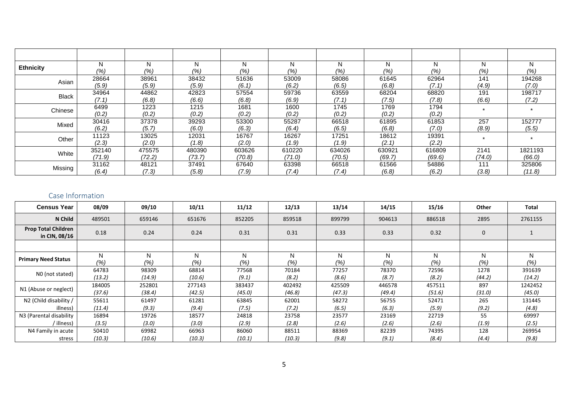| <b>Ethnicity</b> | (% )           | N<br>(%)       | (9/6)          | N<br>(%        | N<br>(%)       | N<br>(%)       | (% )           | N<br>(%)       | N<br>$(%_{0})^{2}$ | N<br>(%) |
|------------------|----------------|----------------|----------------|----------------|----------------|----------------|----------------|----------------|--------------------|----------|
| Asian            | 28664          | 38961          | 38432          | 51636          | 53009          | 58086          | 61645          | 62964          | 141                | 194268   |
|                  | (5.9)          | (5.9)          | (5.9)          | (6.1)          | (6.2)          | (6.5)          | (6.8)          | (7.1           | (4.9)              | (7.0)    |
| <b>Black</b>     | 34964          | 44862          | 42823          | 57554          | 59736          | 63559          | 68204          | 68820          | 191                | 198717   |
|                  | (7.1)          | (6.8)          | (6.6)          | (6.8)          | (6.9)          | (7.1)          | (7.5)          | (7.8)          | (6.6)              | (7.2)    |
| Chinese          | 6499<br>(0.2)  | 1223<br>(0.2)  | 1215<br>(0.2)  | 1681<br>(0.2)  | 1600<br>(0.2)  | 1745<br>(0.2)  | 1769<br>(0.2)  | 1794<br>(0.2)  |                    |          |
| Mixed            | 30416          | 37378          | 39293          | 53300          | 55287          | 66518          | 61895          | 61853          | 257                | 152777   |
|                  | (6.2)          | (5.7.          | (6.0)          | (6.3)          | (6.4)          | (6.5)          | (6.8)          | (7.0)          | (8.9)              | (5.5)    |
| Other            | 11123<br>(2.3) | 13025<br>(2.0) | 12031<br>(1.8) | 16767<br>(2.0) | 16267<br>(1.9) | 17251<br>(1.9) | 18612<br>(2.1) | 19391<br>(2.2) |                    |          |
| White            | 352140         | 475575         | 480390         | 603626         | 610220         | 634026         | 630921         | 616809         | 2141               | 1821193  |
|                  | (71.9)         | (72.2)         | (73.7)         | (70.8)         | (71.0)         | (70.5)         | (69.7)         | (69.6)         | (74.0)             | (66.0)   |
| Missing          | 31162          | 48121          | 37491          | 67640          | 63398          | 66518          | 61566          | 54886          | 111                | 325806   |
|                  | (6.4)          | (7.3)          | (5.8)          | (7.9)          | (7.4)          | (7.4)          | (6.8)          | (6.2)          | (3.8)              | (11.8)   |

# Case Information

<span id="page-4-0"></span>

| <b>Census Year</b>                          | 08/09            | 09/10            | 10/11            | 11/12            | 12/13            | 13/14            | 14/15            | 15/16            | Other          | <b>Total</b>      |
|---------------------------------------------|------------------|------------------|------------------|------------------|------------------|------------------|------------------|------------------|----------------|-------------------|
| N Child                                     | 489501           | 659146           | 651676           | 852205           | 859518           | 899799           | 904613           | 886518           | 2895           | 2761155           |
| <b>Prop Total Children</b><br>in CIN, 08/16 | 0.18             | 0.24             | 0.24             | 0.31             | 0.31             | 0.33             | 0.33             | 0.32             | 0              |                   |
|                                             |                  |                  |                  |                  |                  |                  |                  |                  |                |                   |
| <b>Primary Need Status</b>                  | N<br>(%)         | N<br>(% )        | N<br>(%)         | N<br>(%)         | N<br>(% )        | N<br>(% )        | N<br>(% )        | N<br>(% )        | N<br>(% )      | N<br>(% )         |
| NO (not stated)                             | 64783<br>(13.2)  | 98309<br>(14.9)  | 68814<br>(10.6)  | 77568<br>(9.1)   | 70184<br>(8.2)   | 77257<br>(8.6)   | 78370<br>(8.7)   | 72596<br>(8.2)   | 1278<br>(44.2) | 391639<br>(14.2)  |
| N1 (Abuse or neglect)                       | 184005<br>(37.6) | 252801<br>(38.4) | 277143<br>(42.5) | 383437<br>(45.0) | 402492<br>(46.8) | 425509<br>(47.3) | 446578<br>(49.4) | 457511<br>(51.6) | 897<br>(31.0)  | 1242452<br>(45.0) |
| N2 (Child disability /<br>illness)          | 55611<br>(11.4)  | 61497<br>(9.3)   | 61281<br>(9.4)   | 63845<br>(7.5)   | 62001<br>(7.2)   | 58272<br>(6.5)   | 56755<br>(6.3)   | 52471<br>(5.9)   | 265<br>(9.2)   | 131445<br>(4.8)   |
| N3 (Parental disability                     | 16894            | 19726            | 18577            | 24818            | 23758            | 23577            | 23169            | 22719            | 55             | 69997             |
| / illness)                                  | (3.5)            | (3.0)            | (3.0)            | (2.9)            | (2.8)            | (2.6)            | (2.6)            | (2.6)            | (1.9)          | (2.5)             |
| N4 Family in acute                          | 50410            | 69982            | 66963            | 86060            | 88511            | 88369            | 82239            | 74395            | 128            | 269954            |
| stress                                      | (10.3)           | (10.6)           | (10.3)           | (10.1)           | (10.3)           | (9.8)            | (9.1)            | (8.4)            | (4.4)          | (9.8)             |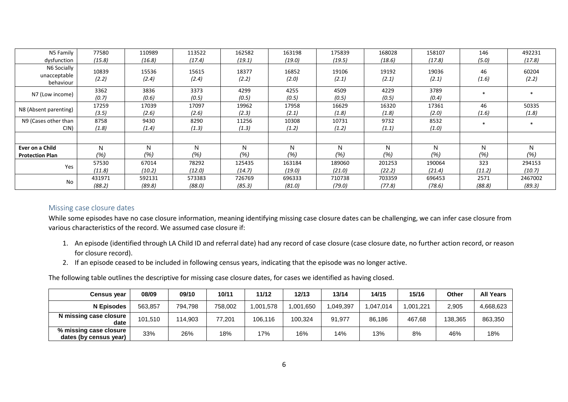| N5 Family                                 | 77580            | 110989           | 113522           | 162582           | 163198           | 175839           | 168028           | 158107           | 146            | 492231            |
|-------------------------------------------|------------------|------------------|------------------|------------------|------------------|------------------|------------------|------------------|----------------|-------------------|
| dysfunction                               | (15.8)           | (16.8)           | (17.4)           | (19.1)           | (19.0)           | (19.5)           | (18.6)           | (17.8)           | (5.0)          | (17.8)            |
| N6 Socially<br>unacceptable<br>behaviour  | 10839<br>(2.2)   | 15536<br>(2.4)   | 15615<br>(2.4)   | 18377<br>(2.2)   | 16852<br>(2.0)   | 19106<br>(2.1)   | 19192<br>(2.1)   | 19036<br>(2.1)   | 46<br>(1.6)    | 60204<br>(2.2)    |
| N7 (Low income)                           | 3362<br>(0.7)    | 3836<br>(0.6)    | 3373<br>(0.5)    | 4299<br>(0.5)    | 4255<br>(0.5)    | 4509<br>(0.5)    | 4229<br>(0.5)    | 3789<br>(0.4)    |                |                   |
| N8 (Absent parenting)                     | 17259<br>(3.5)   | 17039<br>(2.6)   | 17097<br>(2.6)   | 19962<br>(2.3)   | 17958<br>(2.1)   | 16629<br>(1.8)   | 16320<br>(1.8)   | 17361<br>(2.0)   | 46<br>(1.6)    | 50335<br>(1.8)    |
| N9 (Cases other than<br>CIN)              | 8758<br>(1.8)    | 9430<br>(1.4)    | 8290<br>(1.3)    | 11256<br>(1.3)   | 10308<br>(1.2)   | 10731<br>(1.2)   | 9732<br>(1.1)    | 8532<br>(1.0)    |                | *                 |
|                                           |                  |                  |                  |                  |                  |                  |                  |                  |                |                   |
| Ever on a Child<br><b>Protection Plan</b> | N<br>$(\% )$     | N<br>(%)         | N<br>(%)         | N<br>(%)         | N<br>(%)         | N<br>(%)         | N<br>(%)         | N<br>(%)         | N<br>(%)       | N<br>(%)          |
| Yes                                       | 57530<br>(11.8)  | 67014<br>(10.2)  | 78292<br>(12.0)  | 125435<br>(14.7) | 163184<br>(19.0) | 189060<br>(21.0) | 201253<br>(22.2) | 190064<br>(21.4) | 323<br>(11.2)  | 294153<br>(10.7)  |
| No                                        | 431971<br>(88.2) | 592131<br>(89.8) | 573383<br>(88.0) | 726769<br>(85.3) | 696333<br>(81.0) | 710738<br>(79.0) | 703359<br>(77.8) | 696453<br>(78.6) | 2571<br>(88.8) | 2467002<br>(89.3) |

## Missing case closure dates

While some episodes have no case closure information, meaning identifying missing case closure dates can be challenging, we can infer case closure from various characteristics of the record. We assumed case closure if:

- 1. An episode (identified through LA Child ID and referral date) had any record of case closure (case closure date, no further action record, or reason for closure record).
- 2. If an episode ceased to be included in following census years, indicating that the episode was no longer active.

The following table outlines the descriptive for missing case closure dates, for cases we identified as having closed.

<span id="page-5-0"></span>

| Census vear                                        | 08/09   | 09/10   | 10/11   | 11/12     | 12/13    | 13/14     | 14/15    | 15/16    | Other   | <b>All Years</b> |
|----------------------------------------------------|---------|---------|---------|-----------|----------|-----------|----------|----------|---------|------------------|
| N Episodes                                         | 563.857 | 794.798 | 758.002 | 1,001,578 | .001.650 | 1,049,397 | .047.014 | ,001,221 | 2.905   | 4,668,623        |
| N missing case closure<br>date                     | 101,510 | 114.903 | 77,201  | 106.116   | 100.324  | 91,977    | 86,186   | 467,68   | 138,365 | 863,350          |
| % missing case closure '<br>dates (by census year) | 33%     | 26%     | 18%     | 17%       | 16%      | 14%       | 13%      | 8%       | 46%     | 18%              |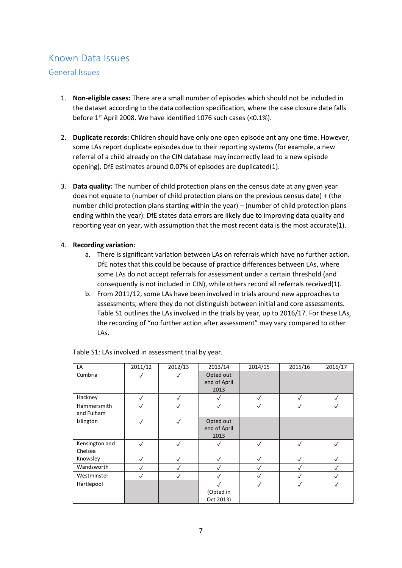# <span id="page-6-0"></span>Known Data Issues

# <span id="page-6-1"></span>General Issues

- 1. **Non-eligible cases:** There are a small number of episodes which should not be included in the dataset according to the data collection specification, where the case closure date falls before 1st April 2008. We have identified 1076 such cases (<0.1%).
- 2. **Duplicate records:** Children should have only one open episode ant any one time. However, some LAs report duplicate episodes due to their reporting systems (for example, a new referral of a child already on the CIN database may incorrectly lead to a new episode opening). DfE estimates around 0.07% of episodes are duplicated(1).
- 3. **Data quality:** The number of child protection plans on the census date at any given year does not equate to (number of child protection plans on the previous census date) + (the number child protection plans starting within the year) – (number of child protection plans ending within the year). DfE states data errors are likely due to improving data quality and reporting year on year, with assumption that the most recent data is the most accurate(1).

## 4. **Recording variation:**

- a. There is significant variation between LAs on referrals which have no further action. DfE notes that this could be because of practice differences between LAs, where some LAs do not accept referrals for assessment under a certain threshold (and consequently is not included in CIN), while others record all referrals received(1).
- b. From 2011/12, some LAs have been involved in trials around new approaches to assessments, where they do not distinguish between initial and core assessments. Table S1 outlines the LAs involved in the trials by year, up to 2016/17. For these LAs, the recording of "no further action after assessment" may vary compared to other LAs.

| LA                        | 2011/12      | 2012/13      | 2013/14                           | 2014/15      | 2015/16      | 2016/17      |
|---------------------------|--------------|--------------|-----------------------------------|--------------|--------------|--------------|
| Cumbria                   | $\checkmark$ | $\checkmark$ | Opted out<br>end of April         |              |              |              |
|                           |              |              | 2013                              |              |              |              |
| Hackney                   | $\checkmark$ | $\checkmark$ | √                                 | $\sqrt{}$    | $\checkmark$ | $\checkmark$ |
| Hammersmith<br>and Fulham | $\checkmark$ | $\checkmark$ | ✓                                 | $\checkmark$ | √            | √            |
| Islington                 | √            | $\checkmark$ | Opted out<br>end of April<br>2013 |              |              |              |
| Kensington and<br>Chelsea | $\checkmark$ | $\checkmark$ | √                                 | $\checkmark$ | $\checkmark$ | √            |
| Knowsley                  | ✓            | √            | $\checkmark$                      |              | $\checkmark$ | ✓            |
| Wandsworth                | $\checkmark$ | $\checkmark$ |                                   |              | $\checkmark$ |              |
| Westminster               | $\checkmark$ | $\checkmark$ | $\checkmark$                      |              | $\checkmark$ | ✓            |
| Hartlepool                |              |              | (Opted in<br>Oct 2013)            | $\checkmark$ | $\checkmark$ | $\checkmark$ |

Table S1: LAs involved in assessment trial by year.